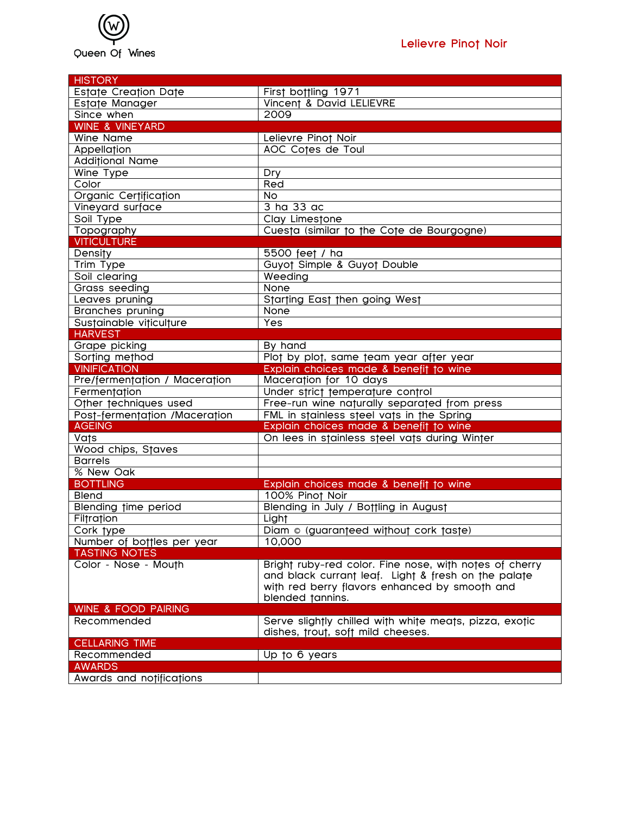

| <b>HISTORY</b>                 |                                                           |
|--------------------------------|-----------------------------------------------------------|
| <b>Estate Creation Date</b>    | First bottling 1971                                       |
| Estate Manager                 | Vincent & David LELIEVRE                                  |
| Since when                     | 2009                                                      |
| WINE & VINEYARD                |                                                           |
| Wine Name                      | Lelievre Pinot Noir                                       |
| Appellation                    | <b>AOC Cotes de Toul</b>                                  |
| <b>Additional Name</b>         |                                                           |
| Wine Type                      | Dry                                                       |
| Color                          | Red                                                       |
| Organic Certification          | <b>No</b>                                                 |
| Vineyard surface               | $\overline{3}$ ha $\overline{33}$ ac                      |
| Soil Type                      | Clay Limestone                                            |
| Topography                     | Cuesta (similar to the Cote de Bourgogne)                 |
| <b>VITICULTURE</b>             |                                                           |
| Density                        | 5500 feet / ha                                            |
| Trim Type                      | Guyot Simple & Guyot Double                               |
| Soil clearing                  | Weeding                                                   |
| Grass seeding                  | None                                                      |
| Leaves pruning                 | Starting East then going West                             |
| <b>Branches pruning</b>        | None                                                      |
| Sustainable viticulture        | Yes                                                       |
| <b>HARVEST</b>                 |                                                           |
| Grape picking                  | By hand                                                   |
| Sorting method                 | Plot by plot, same team year after year                   |
| <b>VINIFICATION</b>            | Explain choices made & benefit to wine                    |
| Pre/fermentation / Maceration  | Maceration for 10 days                                    |
| Fermentation                   | Under strict temperature control                          |
| Other techniques used          | Free-run wine naturally separated from press              |
| Post-fermentation /Maceration  | FML in stainless steel vats in the Spring                 |
| <b>AGEING</b>                  | Explain choices made & benefit to wine                    |
| Vats                           | On lees in stainless steel vats during Winter             |
| Wood chips, Staves             |                                                           |
| <b>Barrels</b>                 |                                                           |
| % New Oak                      |                                                           |
| <b>BOTTLING</b>                |                                                           |
| <b>Blend</b>                   | Explain choices made & benefit to wine<br>100% Pinot Noir |
|                                | Blending in July / Bottling in August                     |
| <b>Blending time period</b>    |                                                           |
| Filtration                     | Light                                                     |
| Cork type                      | Diam © (guaranteed without cork taste)                    |
| Number of bottles per year     | 10,000                                                    |
| <b>TASTING NOTES</b>           |                                                           |
| Color - Nose - Mouth           | Bright ruby-red color. Fine nose, with notes of cherry    |
|                                | and black currant leaf. Light & fresh on the palate       |
|                                | with red berry flavors enhanced by smooth and             |
|                                | blended tannins.                                          |
| <b>WINE &amp; FOOD PAIRING</b> |                                                           |
| Recommended                    | Serve slightly chilled with white meats, pizza, exotic    |
|                                | dishes, trout, soft mild cheeses.                         |
| <b>CELLARING TIME</b>          |                                                           |
| Recommended                    | Up to 6 years                                             |
| <b>AWARDS</b>                  |                                                           |
| Awards and notifications       |                                                           |